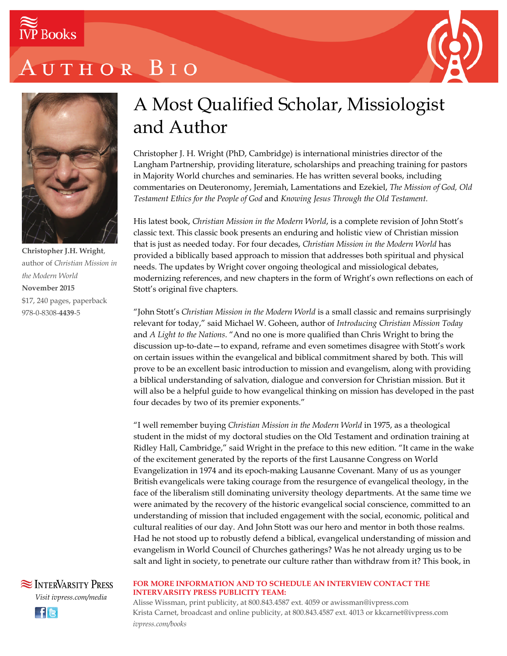

# UTHOR BIO





**Christopher J.H. Wright**, author of *Christian Mission in the Modern World* **November 2015** \$17, 240 pages, paperback 978-0-8308-**4439**-5

### A Most Qualified Scholar, Missiologist and Author

Christopher J. H. Wright (PhD, Cambridge) is international ministries director of the Langham Partnership, providing literature, scholarships and preaching training for pastors in Majority World churches and seminaries. He has written several books, including commentaries on Deuteronomy, Jeremiah, Lamentations and Ezekiel, *The Mission of God, Old Testament Ethics for the People of God* and *Knowing Jesus Through the Old Testament.*

His latest book, *Christian Mission in the Modern World*, is a complete revision of John Stott's classic text. This classic book presents an enduring and holistic view of Christian mission that is just as needed today. For four decades, *Christian Mission in the Modern World* has provided a biblically based approach to mission that addresses both spiritual and physical needs. The updates by Wright cover ongoing theological and missiological debates, modernizing references, and new chapters in the form of Wright's own reflections on each of Stott's original five chapters.

"John Stott's *Christian Mission in the Modern World* is a small classic and remains surprisingly relevant for today," said Michael W. Goheen, author of *Introducing Christian Mission Today* and *A Light to the Nations*. "And no one is more qualified than Chris Wright to bring the discussion up-to-date—to expand, reframe and even sometimes disagree with Stott's work on certain issues within the evangelical and biblical commitment shared by both. This will prove to be an excellent basic introduction to mission and evangelism, along with providing a biblical understanding of salvation, dialogue and conversion for Christian mission. But it will also be a helpful guide to how evangelical thinking on mission has developed in the past four decades by two of its premier exponents."

"I well remember buying *Christian Mission in the Modern World* in 1975, as a theological student in the midst of my doctoral studies on the Old Testament and ordination training at Ridley Hall, Cambridge," said Wright in the preface to this new edition. "It came in the wake of the excitement generated by the reports of the first Lausanne Congress on World Evangelization in 1974 and its epoch-making Lausanne Covenant. Many of us as younger British evangelicals were taking courage from the resurgence of evangelical theology, in the face of the liberalism still dominating university theology departments. At the same time we were animated by the recovery of the historic evangelical social conscience, committed to an understanding of mission that included engagement with the social, economic, political and cultural realities of our day. And John Stott was our hero and mentor in both those realms. Had he not stood up to robustly defend a biblical, evangelical understanding of mission and evangelism in World Council of Churches gatherings? Was he not already urging us to be salt and light in society, to penetrate our culture rather than withdraw from it? This book, in

**SEX INTERVARSITY PRESS** *Visit ivpress.com/media* <u>He</u>

#### **FOR MORE INFORMATION AND TO SCHEDULE AN INTERVIEW CONTACT THE INTERVARSITY PRESS PUBLICITY TEAM:**

Alisse Wissman, print publicity, at 800.843.4587 ext. 4059 or awissman@ivpress.com Krista Carnet, broadcast and online publicity, at 800.843.4587 ext. 4013 or kkcarnet@ivpress.com *ivpress.com/books*